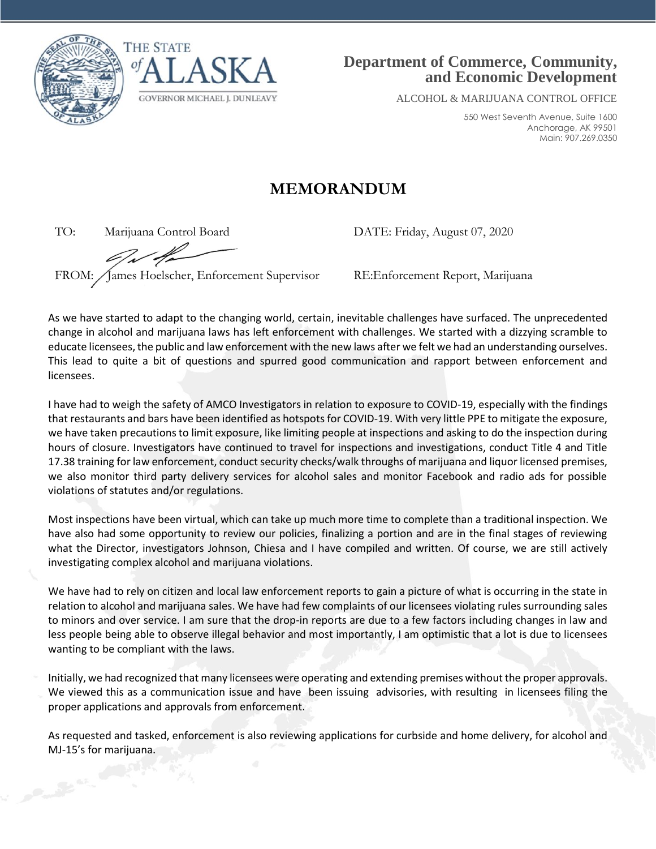



## **Department of Commerce, Community, and Economic Development**

ALCOHOL & MARIJUANA CONTROL OFFICE

550 West Seventh Avenue, Suite 1600 Anchorage, AK 99501 Main: 907.269.0350

## **MEMORANDUM**

TO: Marijuana Control Board DATE: Friday, August 07, 2020

FROM: James Hoelscher, Enforcement Supervisor RE:Enforcement Report, Marijuana

As we have started to adapt to the changing world, certain, inevitable challenges have surfaced. The unprecedented change in alcohol and marijuana laws has left enforcement with challenges. We started with a dizzying scramble to educate licensees, the public and law enforcement with the new laws after we felt we had an understanding ourselves. This lead to quite a bit of questions and spurred good communication and rapport between enforcement and licensees.

I have had to weigh the safety of AMCO Investigators in relation to exposure to COVID-19, especially with the findings that restaurants and bars have been identified as hotspots for COVID-19. With very little PPE to mitigate the exposure, we have taken precautions to limit exposure, like limiting people at inspections and asking to do the inspection during hours of closure. Investigators have continued to travel for inspections and investigations, conduct Title 4 and Title 17.38 training for law enforcement, conduct security checks/walk throughs of marijuana and liquor licensed premises, we also monitor third party delivery services for alcohol sales and monitor Facebook and radio ads for possible violations of statutes and/or regulations.

Most inspections have been virtual, which can take up much more time to complete than a traditional inspection. We have also had some opportunity to review our policies, finalizing a portion and are in the final stages of reviewing what the Director, investigators Johnson, Chiesa and I have compiled and written. Of course, we are still actively investigating complex alcohol and marijuana violations.

We have had to rely on citizen and local law enforcement reports to gain a picture of what is occurring in the state in relation to alcohol and marijuana sales. We have had few complaints of our licensees violating rules surrounding sales to minors and over service. I am sure that the drop-in reports are due to a few factors including changes in law and less people being able to observe illegal behavior and most importantly, I am optimistic that a lot is due to licensees wanting to be compliant with the laws.

Initially, we had recognized that many licensees were operating and extending premises without the proper approvals. We viewed this as a communication issue and have been issuing advisories, with resulting in licensees filing the proper applications and approvals from enforcement.

As requested and tasked, enforcement is also reviewing applications for curbside and home delivery, for alcohol and MJ-15's for marijuana.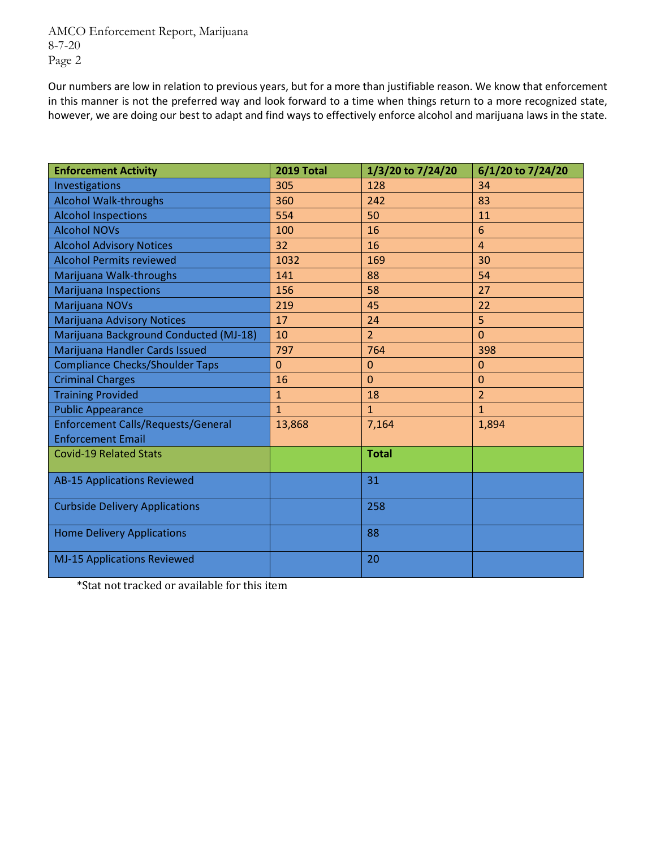AMCO Enforcement Report, Marijuana 8-7-20 Page 2

Our numbers are low in relation to previous years, but for a more than justifiable reason. We know that enforcement in this manner is not the preferred way and look forward to a time when things return to a more recognized state, however, we are doing our best to adapt and find ways to effectively enforce alcohol and marijuana laws in the state.

| <b>Enforcement Activity</b>               | 2019 Total   | 1/3/20 to 7/24/20 | 6/1/20 to 7/24/20 |
|-------------------------------------------|--------------|-------------------|-------------------|
| Investigations                            | 305          | 128               | 34                |
| <b>Alcohol Walk-throughs</b>              | 360          | 242               | 83                |
| <b>Alcohol Inspections</b>                | 554          | 50                | 11                |
| <b>Alcohol NOVs</b>                       | 100          | 16                | 6                 |
| <b>Alcohol Advisory Notices</b>           | 32           | 16                | $\overline{4}$    |
| <b>Alcohol Permits reviewed</b>           | 1032         | 169               | 30                |
| Marijuana Walk-throughs                   | 141          | 88                | 54                |
| <b>Marijuana Inspections</b>              | 156          | 58                | 27                |
| <b>Marijuana NOVs</b>                     | 219          | 45                | 22                |
| <b>Marijuana Advisory Notices</b>         | 17           | 24                | 5                 |
| Marijuana Background Conducted (MJ-18)    | 10           | $\overline{2}$    | $\overline{0}$    |
| Marijuana Handler Cards Issued            | 797          | 764               | 398               |
| <b>Compliance Checks/Shoulder Taps</b>    | $\Omega$     | $\mathbf 0$       | $\overline{0}$    |
| <b>Criminal Charges</b>                   | 16           | $\overline{0}$    | $\mathbf 0$       |
| <b>Training Provided</b>                  | $\mathbf{1}$ | 18                | $\overline{2}$    |
| <b>Public Appearance</b>                  | $\mathbf{1}$ | $\mathbf{1}$      | $\mathbf{1}$      |
| <b>Enforcement Calls/Requests/General</b> | 13,868       | 7,164             | 1,894             |
| <b>Enforcement Email</b>                  |              |                   |                   |
| <b>Covid-19 Related Stats</b>             |              | <b>Total</b>      |                   |
| <b>AB-15 Applications Reviewed</b>        |              | 31                |                   |
| <b>Curbside Delivery Applications</b>     |              | 258               |                   |
| <b>Home Delivery Applications</b>         |              | 88                |                   |
| <b>MJ-15 Applications Reviewed</b>        |              | 20                |                   |

\*Stat not tracked or available for this item